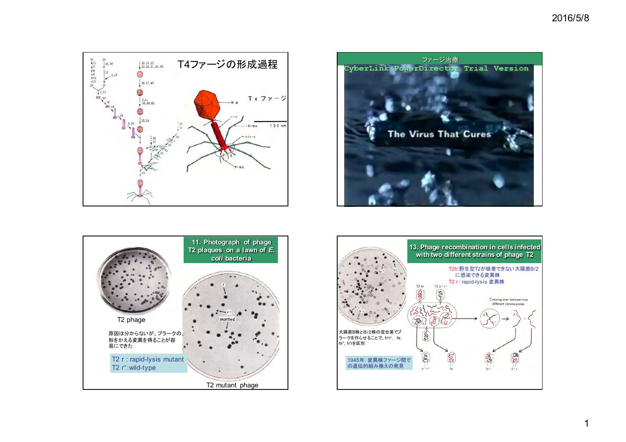





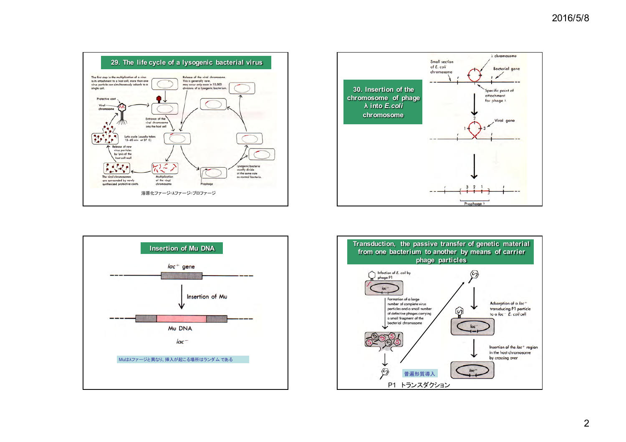





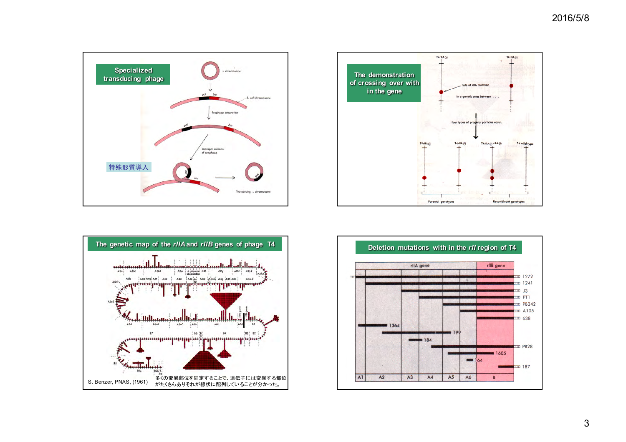





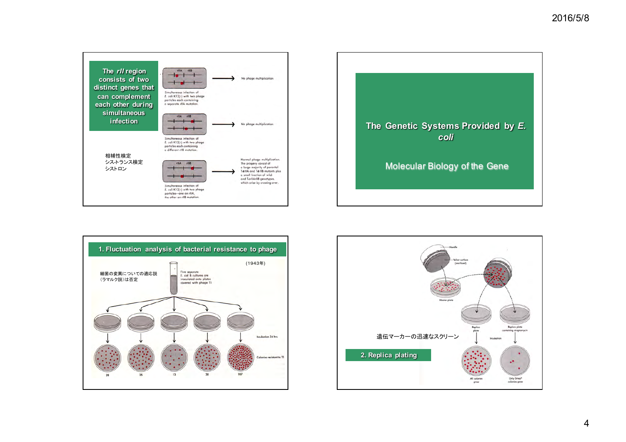